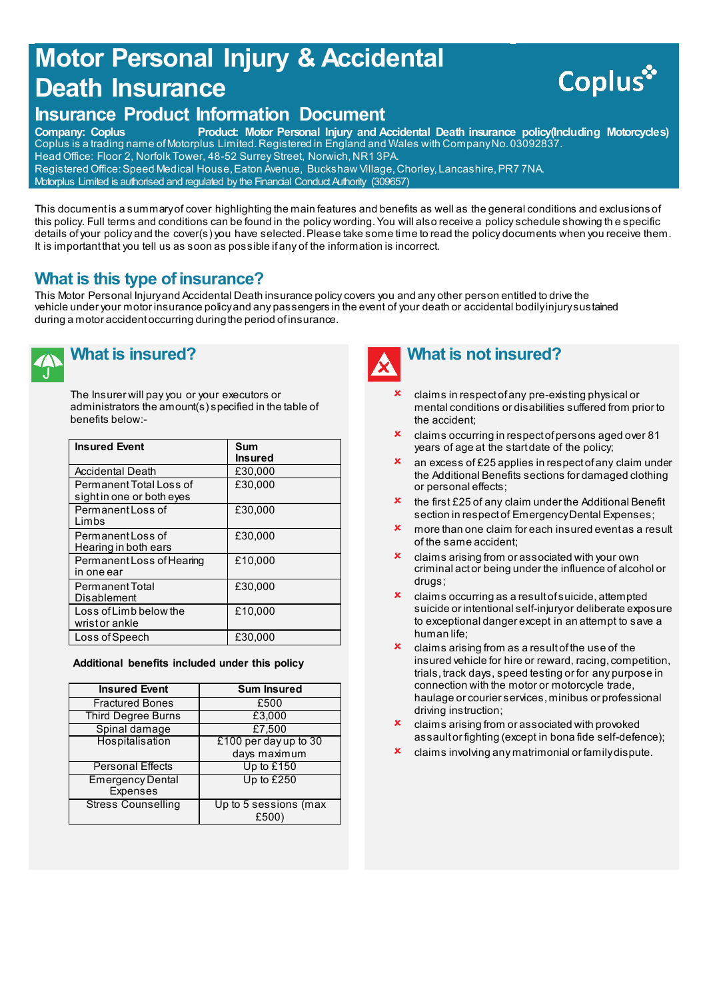## **Motor Personal Injury & Accidental Death Insurance**

# **Coplus**

## **Insurance Product Information Document**<br>Company: Coplus Product: Motor Personal Injury and A

Product: Motor Personal Injury and Accidental Death insurance policy(Including Motorcycles) Coplus is a trading name of Motorplus Limited. Registered in England and Wales with Company No. 03092837. Head Office: Floor 2, Norfolk Tower, 48-52 Surrey Street, Norwich, NR1 3PA. Registered Office: Speed Medical House, Eaton Avenue, Buckshaw Village, Chorley, Lancashire, PR7 7NA. Motorplus Limited is authorised and regulated by the Financial Conduct Authority (309657)

This document is a summary of cover highlighting the main features and benefits as well as the general conditions and exclusions of this policy. Full terms and conditions can be found in the policy wording. You will also receive a policy schedule showing th e specific details of your policy and the cover(s) you have selected. Please take some time to read the policy documents when you receive them. It is important that you tell us as soon as possible if any of the information is incorrect.

## **What is this type of insurance?**

This Motor Personal Injury and Accidental Death insurance policy covers you and any other person entitled to drive the vehicle under your motor insurance policy and any passengers in the event of your death or accidental bodily injury sustained during a motor accident occurring during the period of insurance.



## **What is insured?**

The Insurer will pay you or your executors or administrators the amount(s) specified in the table of benefits below:-

| <b>Insured Event</b>                                 | Sum<br><b>Insured</b> |
|------------------------------------------------------|-----------------------|
| <b>Accidental Death</b>                              | £30.000               |
| Permanent Total Loss of<br>sight in one or both eyes | £30.000               |
| Permanent Loss of<br>I imbs                          | £30,000               |
| Permanent Loss of<br>Hearing in both ears            | £30.000               |
| Permanent Loss of Hearing<br>in one ear              | £10.000               |
| <b>Permanent Total</b><br>Disablement                | £30,000               |
| Loss of Limb below the<br>wrist or ankle             | £10,000               |
| Loss of Speech                                       | £30,000               |

#### **Additional benefits included under this policy**

| <b>Insured Event</b>                | <b>Sum Insured</b>            |
|-------------------------------------|-------------------------------|
| <b>Fractured Bones</b>              | £500                          |
| <b>Third Degree Burns</b>           | £3,000                        |
| Spinal damage                       | £7,500                        |
| Hospitalisation                     | £100 per day up to 30         |
|                                     | days maximum                  |
| <b>Personal Effects</b>             | Up to £150                    |
| <b>Emergency Dental</b><br>Expenses | Up to £250                    |
| <b>Stress Counselling</b>           | Up to 5 sessions (max<br>£500 |



## **What is not insured?**

- claims in respect of any pre-existing physical or mental conditions or disabilities suffered from prior to the accident;
- claims occurring in respect of persons aged over 81 years of age at the start date of the policy;
- an excess of £25 applies in respect of any claim under the Additional Benefits sections for damaged clothing or personal effects;
- the first £25 of any claim under the Additional Benefit section in respect of Emergency Dental Expenses;
- more than one claim for each insured event as a result of the same accident;
- claims arising from or associated with your own criminal act or being under the influence of alcohol or drugs;
- claims occurring as a result of suicide, attempted suicide or intentional self-injury or deliberate exposure to exceptional danger except in an attempt to save a human life;
- claims arising from as a result of the use of the insured vehicle for hire or reward, racing, competition, trials, track days, speed testing or for any purpose in connection with the motor or motorcycle trade, haulage or courier services, minibus or professional driving instruction;
- claims arising from or associated with provoked assault or fighting (except in bona fide self-defence);
- claims involving any matrimonial or family dispute.